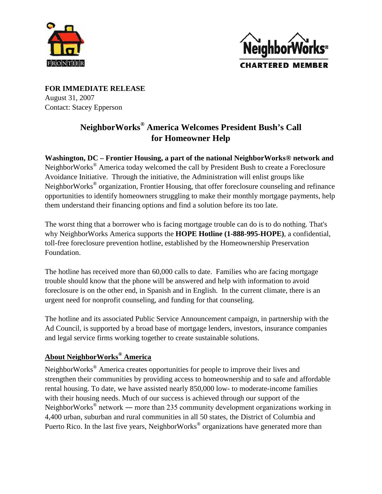



**FOR IMMEDIATE RELEASE** August 31, 2007 Contact: Stacey Epperson

## **NeighborWorks® America Welcomes President Bush's Call for Homeowner Help**

**Washington, DC – Frontier Housing, a part of the national NeighborWorks® network and** NeighborWorks® America today welcomed the call by President Bush to create a Foreclosure Avoidance Initiative. Through the initiative, the Administration will enlist groups like NeighborWorks® organization, Frontier Housing, that offer foreclosure counseling and refinance opportunities to identify homeowners struggling to make their monthly mortgage payments, help them understand their financing options and find a solution before its too late.

The worst thing that a borrower who is facing mortgage trouble can do is to do nothing. That's why NeighborWorks America supports the **HOPE Hotline (1-888-995-HOPE)**, a confidential, toll-free foreclosure prevention hotline, established by the Homeownership Preservation Foundation.

The hotline has received more than 60,000 calls to date. Families who are facing mortgage trouble should know that the phone will be answered and help with information to avoid foreclosure is on the other end, in Spanish and in English. In the current climate, there is an urgent need for nonprofit counseling, and funding for that counseling.

The hotline and its associated Public Service Announcement campaign, in partnership with the Ad Council, is supported by a broad base of mortgage lenders, investors, insurance companies and legal service firms working together to create sustainable solutions.

## **About NeighborWorks® America**

NeighborWorks® America creates opportunities for people to improve their lives and strengthen their communities by providing access to homeownership and to safe and affordable rental housing. To date, we have assisted nearly 850,000 low- to moderate-income families with their housing needs. Much of our success is achieved through our support of the NeighborWorks<sup>®</sup> network — more than 235 community development organizations working in 4,400 urban, suburban and rural communities in all 50 states, the District of Columbia and Puerto Rico. In the last five years, NeighborWorks<sup>®</sup> organizations have generated more than